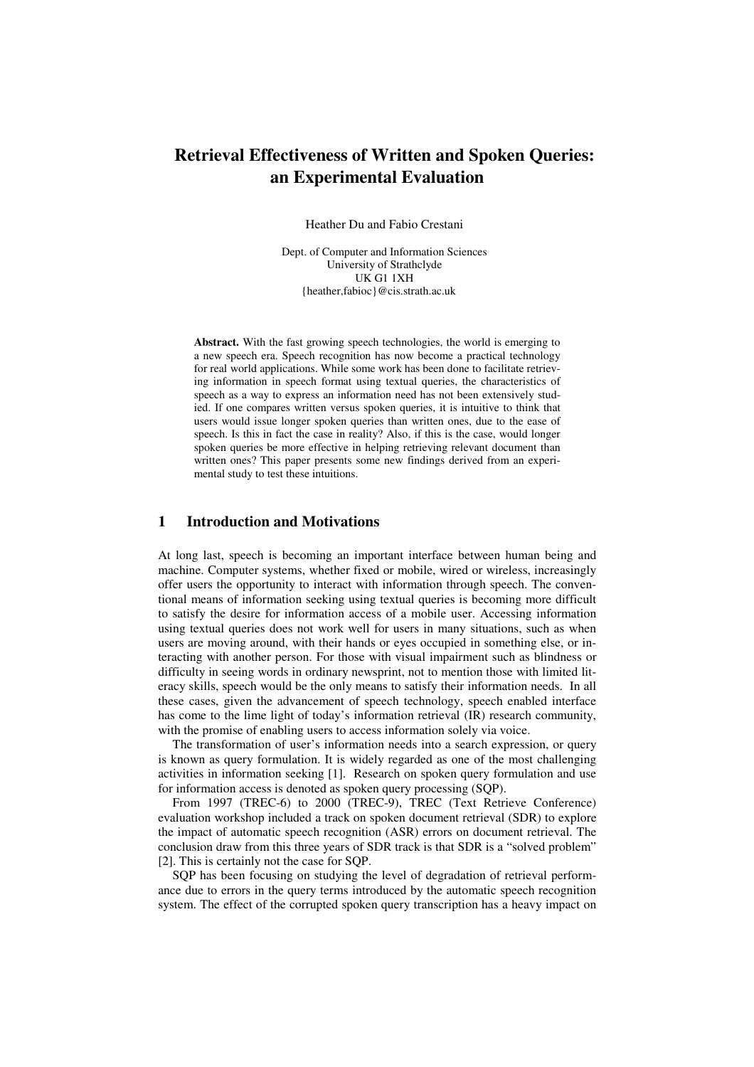# **Retrieval Effectiveness of Written and Spoken Queries: an Experimental Evaluation**

Heather Du and Fabio Crestani

Dept. of Computer and Information Sciences University of Strathclyde UK G1 1XH {heather,fabioc}@cis.strath.ac.uk

**Abstract.** With the fast growing speech technologies, the world is emerging to a new speech era. Speech recognition has now become a practical technology for real world applications. While some work has been done to facilitate retrieving information in speech format using textual queries, the characteristics of speech as a way to express an information need has not been extensively studied. If one compares written versus spoken queries, it is intuitive to think that users would issue longer spoken queries than written ones, due to the ease of speech. Is this in fact the case in reality? Also, if this is the case, would longer spoken queries be more effective in helping retrieving relevant document than written ones? This paper presents some new findings derived from an experimental study to test these intuitions.

### **1 Introduction and Motivations**

At long last, speech is becoming an important interface between human being and machine. Computer systems, whether fixed or mobile, wired or wireless, increasingly offer users the opportunity to interact with information through speech. The conventional means of information seeking using textual queries is becoming more difficult to satisfy the desire for information access of a mobile user. Accessing information using textual queries does not work well for users in many situations, such as when users are moving around, with their hands or eyes occupied in something else, or interacting with another person. For those with visual impairment such as blindness or difficulty in seeing words in ordinary newsprint, not to mention those with limited literacy skills, speech would be the only means to satisfy their information needs. In all these cases, given the advancement of speech technology, speech enabled interface has come to the lime light of today's information retrieval (IR) research community, with the promise of enabling users to access information solely via voice.

The transformation of user's information needs into a search expression, or query is known as query formulation. It is widely regarded as one of the most challenging activities in information seeking [1]. Research on spoken query formulation and use for information access is denoted as spoken query processing (SQP).

From 1997 (TREC-6) to 2000 (TREC-9), TREC (Text Retrieve Conference) evaluation workshop included a track on spoken document retrieval (SDR) to explore the impact of automatic speech recognition (ASR) errors on document retrieval. The conclusion draw from this three years of SDR track is that SDR is a "solved problem" [2]. This is certainly not the case for SQP.

SQP has been focusing on studying the level of degradation of retrieval performance due to errors in the query terms introduced by the automatic speech recognition system. The effect of the corrupted spoken query transcription has a heavy impact on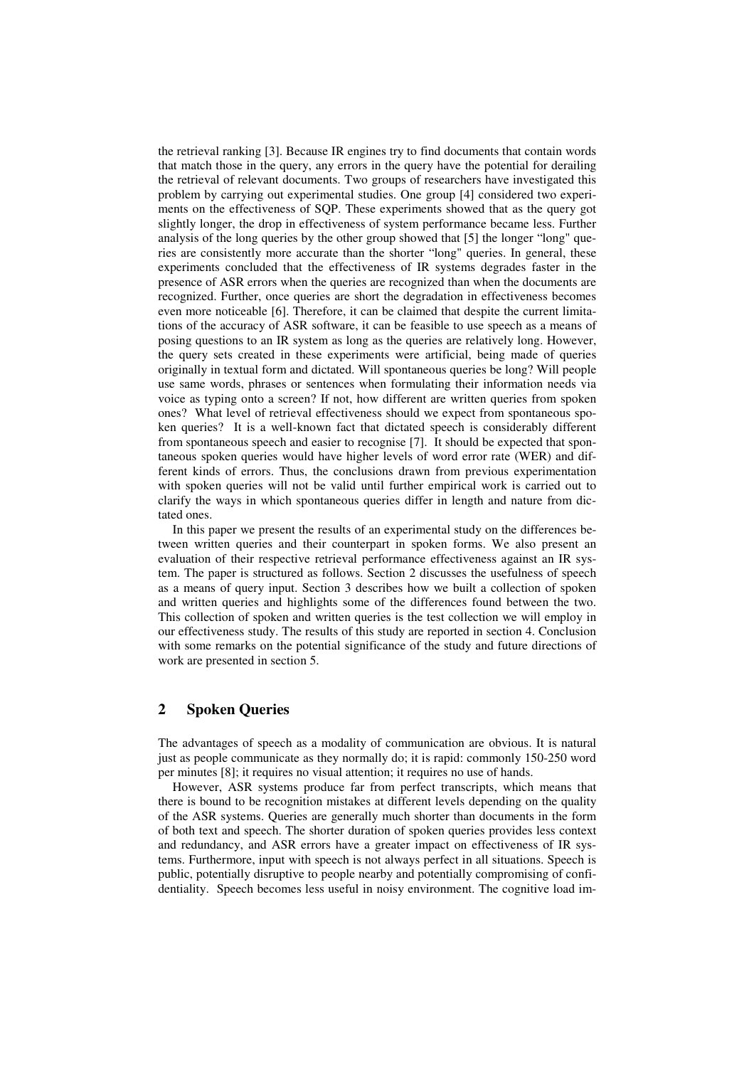the retrieval ranking [3]. Because IR engines try to find documents that contain words that match those in the query, any errors in the query have the potential for derailing the retrieval of relevant documents. Two groups of researchers have investigated this problem by carrying out experimental studies. One group [4] considered two experiments on the effectiveness of SQP. These experiments showed that as the query got slightly longer, the drop in effectiveness of system performance became less. Further analysis of the long queries by the other group showed that [5] the longer "long" queries are consistently more accurate than the shorter "long" queries. In general, these experiments concluded that the effectiveness of IR systems degrades faster in the presence of ASR errors when the queries are recognized than when the documents are recognized. Further, once queries are short the degradation in effectiveness becomes even more noticeable [6]. Therefore, it can be claimed that despite the current limitations of the accuracy of ASR software, it can be feasible to use speech as a means of posing questions to an IR system as long as the queries are relatively long. However, the query sets created in these experiments were artificial, being made of queries originally in textual form and dictated. Will spontaneous queries be long? Will people use same words, phrases or sentences when formulating their information needs via voice as typing onto a screen? If not, how different are written queries from spoken ones? What level of retrieval effectiveness should we expect from spontaneous spoken queries? It is a well-known fact that dictated speech is considerably different from spontaneous speech and easier to recognise [7]. It should be expected that spontaneous spoken queries would have higher levels of word error rate (WER) and different kinds of errors. Thus, the conclusions drawn from previous experimentation with spoken queries will not be valid until further empirical work is carried out to clarify the ways in which spontaneous queries differ in length and nature from dictated ones.

In this paper we present the results of an experimental study on the differences between written queries and their counterpart in spoken forms. We also present an evaluation of their respective retrieval performance effectiveness against an IR system. The paper is structured as follows. Section 2 discusses the usefulness of speech as a means of query input. Section 3 describes how we built a collection of spoken and written queries and highlights some of the differences found between the two. This collection of spoken and written queries is the test collection we will employ in our effectiveness study. The results of this study are reported in section 4. Conclusion with some remarks on the potential significance of the study and future directions of work are presented in section 5.

### **2 Spoken Queries**

The advantages of speech as a modality of communication are obvious. It is natural just as people communicate as they normally do; it is rapid: commonly 150-250 word per minutes [8]; it requires no visual attention; it requires no use of hands.

However, ASR systems produce far from perfect transcripts, which means that there is bound to be recognition mistakes at different levels depending on the quality of the ASR systems. Queries are generally much shorter than documents in the form of both text and speech. The shorter duration of spoken queries provides less context and redundancy, and ASR errors have a greater impact on effectiveness of IR systems. Furthermore, input with speech is not always perfect in all situations. Speech is public, potentially disruptive to people nearby and potentially compromising of confidentiality. Speech becomes less useful in noisy environment. The cognitive load im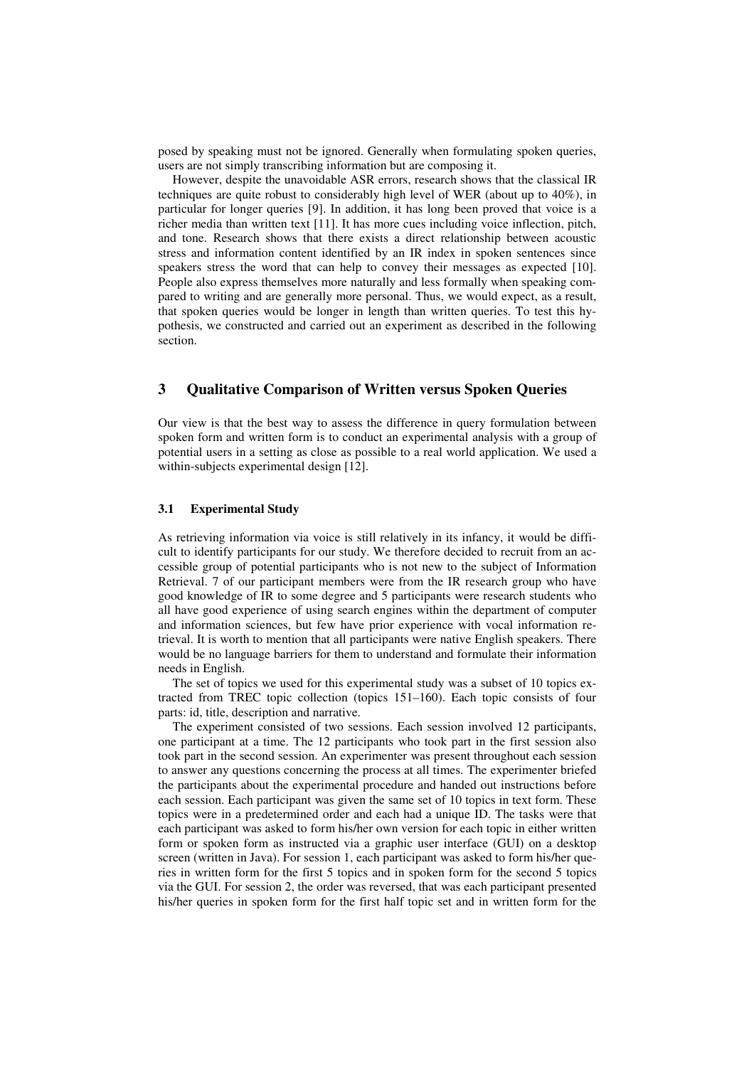posed by speaking must not be ignored. Generally when formulating spoken queries, users are not simply transcribing information but are composing it.

However, despite the unavoidable ASR errors, research shows that the classical IR techniques are quite robust to considerably high level of WER (about up to 40%), in particular for longer queries [9]. In addition, it has long been proved that voice is a richer media than written text [11]. It has more cues including voice inflection, pitch, and tone. Research shows that there exists a direct relationship between acoustic stress and information content identified by an IR index in spoken sentences since speakers stress the word that can help to convey their messages as expected [10]. People also express themselves more naturally and less formally when speaking compared to writing and are generally more personal. Thus, we would expect, as a result, that spoken queries would be longer in length than written queries. To test this hypothesis, we constructed and carried out an experiment as described in the following section.

## **3 Qualitative Comparison of Written versus Spoken Queries**

Our view is that the best way to assess the difference in query formulation between spoken form and written form is to conduct an experimental analysis with a group of potential users in a setting as close as possible to a real world application. We used a within-subjects experimental design [12].

#### **3.1 Experimental Study**

As retrieving information via voice is still relatively in its infancy, it would be difficult to identify participants for our study. We therefore decided to recruit from an accessible group of potential participants who is not new to the subject of Information Retrieval. 7 of our participant members were from the IR research group who have good knowledge of IR to some degree and 5 participants were research students who all have good experience of using search engines within the department of computer and information sciences, but few have prior experience with vocal information retrieval. It is worth to mention that all participants were native English speakers. There would be no language barriers for them to understand and formulate their information needs in English.

The set of topics we used for this experimental study was a subset of 10 topics extracted from TREC topic collection (topics 151–160). Each topic consists of four parts: id, title, description and narrative.

The experiment consisted of two sessions. Each session involved 12 participants, one participant at a time. The 12 participants who took part in the first session also took part in the second session. An experimenter was present throughout each session to answer any questions concerning the process at all times. The experimenter briefed the participants about the experimental procedure and handed out instructions before each session. Each participant was given the same set of 10 topics in text form. These topics were in a predetermined order and each had a unique ID. The tasks were that each participant was asked to form his/her own version for each topic in either written form or spoken form as instructed via a graphic user interface (GUI) on a desktop screen (written in Java). For session 1, each participant was asked to form his/her queries in written form for the first 5 topics and in spoken form for the second 5 topics via the GUI. For session 2, the order was reversed, that was each participant presented his/her queries in spoken form for the first half topic set and in written form for the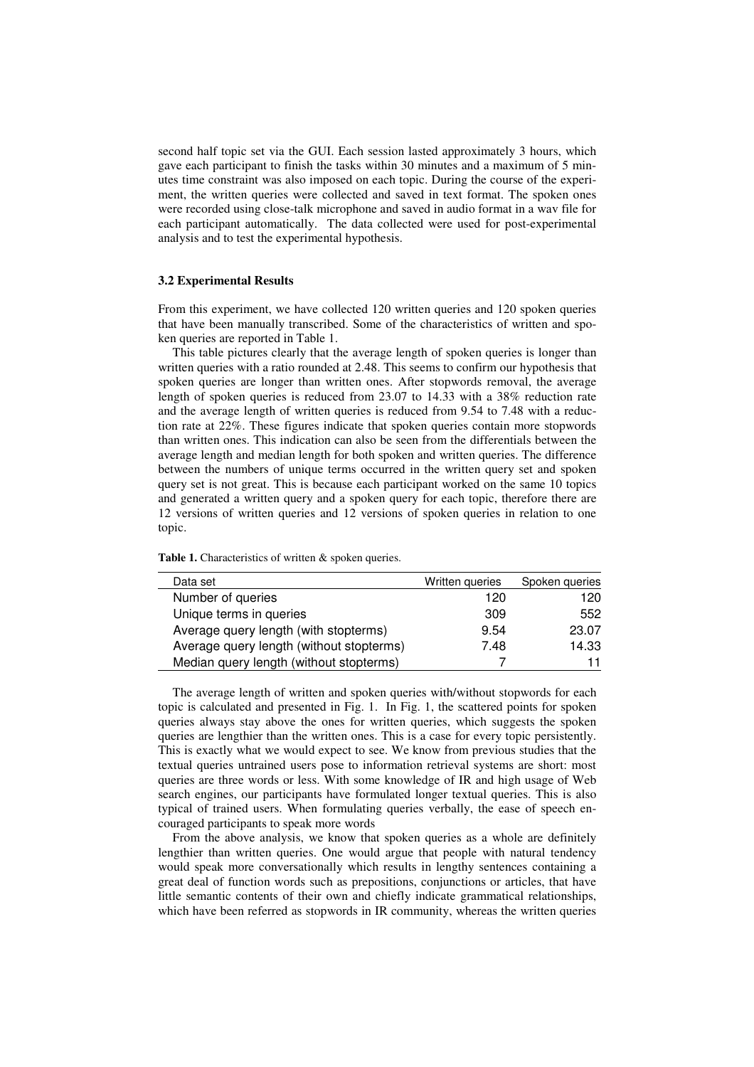second half topic set via the GUI. Each session lasted approximately 3 hours, which gave each participant to finish the tasks within 30 minutes and a maximum of 5 minutes time constraint was also imposed on each topic. During the course of the experiment, the written queries were collected and saved in text format. The spoken ones were recorded using close-talk microphone and saved in audio format in a wav file for each participant automatically. The data collected were used for post-experimental analysis and to test the experimental hypothesis.

#### **3.2 Experimental Results**

From this experiment, we have collected 120 written queries and 120 spoken queries that have been manually transcribed. Some of the characteristics of written and spoken queries are reported in Table 1.

This table pictures clearly that the average length of spoken queries is longer than written queries with a ratio rounded at 2.48. This seems to confirm our hypothesis that spoken queries are longer than written ones. After stopwords removal, the average length of spoken queries is reduced from 23.07 to 14.33 with a 38% reduction rate and the average length of written queries is reduced from 9.54 to 7.48 with a reduction rate at 22%. These figures indicate that spoken queries contain more stopwords than written ones. This indication can also be seen from the differentials between the average length and median length for both spoken and written queries. The difference between the numbers of unique terms occurred in the written query set and spoken query set is not great. This is because each participant worked on the same 10 topics and generated a written query and a spoken query for each topic, therefore there are 12 versions of written queries and 12 versions of spoken queries in relation to one topic.

| Data set                                 | Written queries | Spoken queries |
|------------------------------------------|-----------------|----------------|
| Number of queries                        | 120             | 120            |
| Unique terms in queries                  | 309             | 552            |
| Average query length (with stopterms)    | 9.54            | 23.07          |
| Average query length (without stopterms) | 7.48            | 14.33          |
| Median query length (without stopterms)  |                 |                |

Table 1. Characteristics of written & spoken queries.

The average length of written and spoken queries with/without stopwords for each topic is calculated and presented in Fig. 1. In Fig. 1, the scattered points for spoken queries always stay above the ones for written queries, which suggests the spoken queries are lengthier than the written ones. This is a case for every topic persistently. This is exactly what we would expect to see. We know from previous studies that the textual queries untrained users pose to information retrieval systems are short: most queries are three words or less. With some knowledge of IR and high usage of Web search engines, our participants have formulated longer textual queries. This is also typical of trained users. When formulating queries verbally, the ease of speech encouraged participants to speak more words

From the above analysis, we know that spoken queries as a whole are definitely lengthier than written queries. One would argue that people with natural tendency would speak more conversationally which results in lengthy sentences containing a great deal of function words such as prepositions, conjunctions or articles, that have little semantic contents of their own and chiefly indicate grammatical relationships, which have been referred as stopwords in IR community, whereas the written queries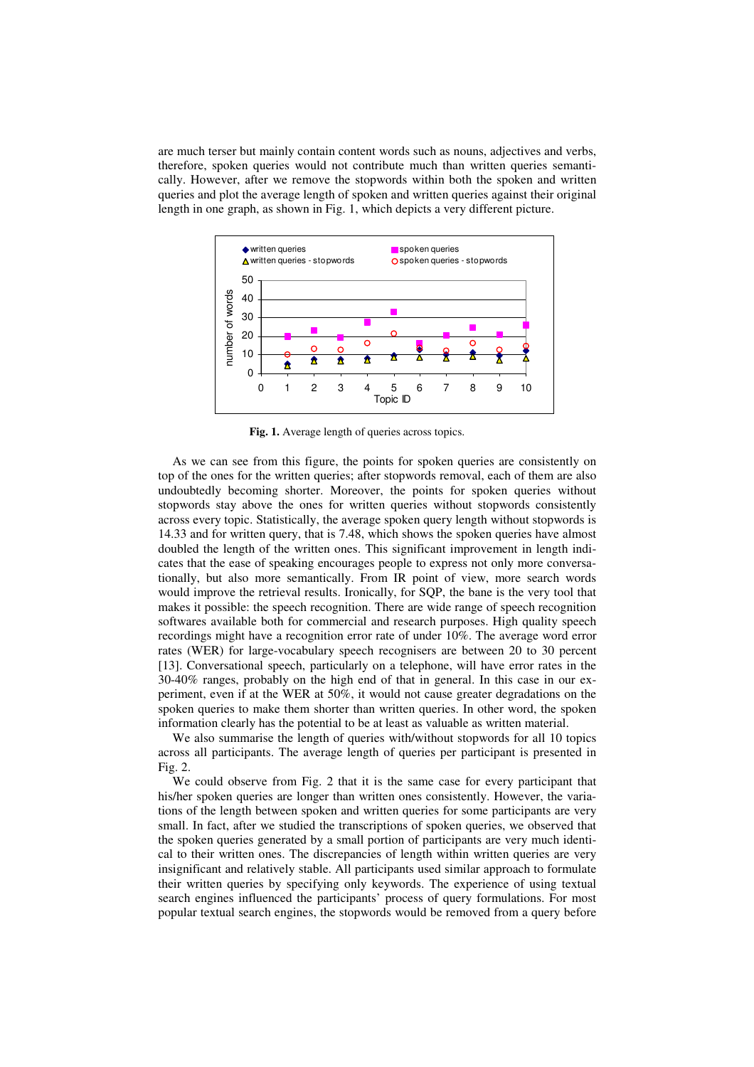are much terser but mainly contain content words such as nouns, adjectives and verbs, therefore, spoken queries would not contribute much than written queries semantically. However, after we remove the stopwords within both the spoken and written queries and plot the average length of spoken and written queries against their original length in one graph, as shown in Fig. 1, which depicts a very different picture.



**Fig. 1.** Average length of queries across topics.

As we can see from this figure, the points for spoken queries are consistently on top of the ones for the written queries; after stopwords removal, each of them are also undoubtedly becoming shorter. Moreover, the points for spoken queries without stopwords stay above the ones for written queries without stopwords consistently across every topic. Statistically, the average spoken query length without stopwords is 14.33 and for written query, that is 7.48, which shows the spoken queries have almost doubled the length of the written ones. This significant improvement in length indicates that the ease of speaking encourages people to express not only more conversationally, but also more semantically. From IR point of view, more search words would improve the retrieval results. Ironically, for SQP, the bane is the very tool that makes it possible: the speech recognition. There are wide range of speech recognition softwares available both for commercial and research purposes. High quality speech recordings might have a recognition error rate of under 10%. The average word error rates (WER) for large-vocabulary speech recognisers are between 20 to 30 percent [13]. Conversational speech, particularly on a telephone, will have error rates in the 30-40% ranges, probably on the high end of that in general. In this case in our experiment, even if at the WER at 50%, it would not cause greater degradations on the spoken queries to make them shorter than written queries. In other word, the spoken information clearly has the potential to be at least as valuable as written material.

We also summarise the length of queries with/without stopwords for all 10 topics across all participants. The average length of queries per participant is presented in Fig. 2.

We could observe from Fig. 2 that it is the same case for every participant that his/her spoken queries are longer than written ones consistently. However, the variations of the length between spoken and written queries for some participants are very small. In fact, after we studied the transcriptions of spoken queries, we observed that the spoken queries generated by a small portion of participants are very much identical to their written ones. The discrepancies of length within written queries are very insignificant and relatively stable. All participants used similar approach to formulate their written queries by specifying only keywords. The experience of using textual search engines influenced the participants' process of query formulations. For most popular textual search engines, the stopwords would be removed from a query before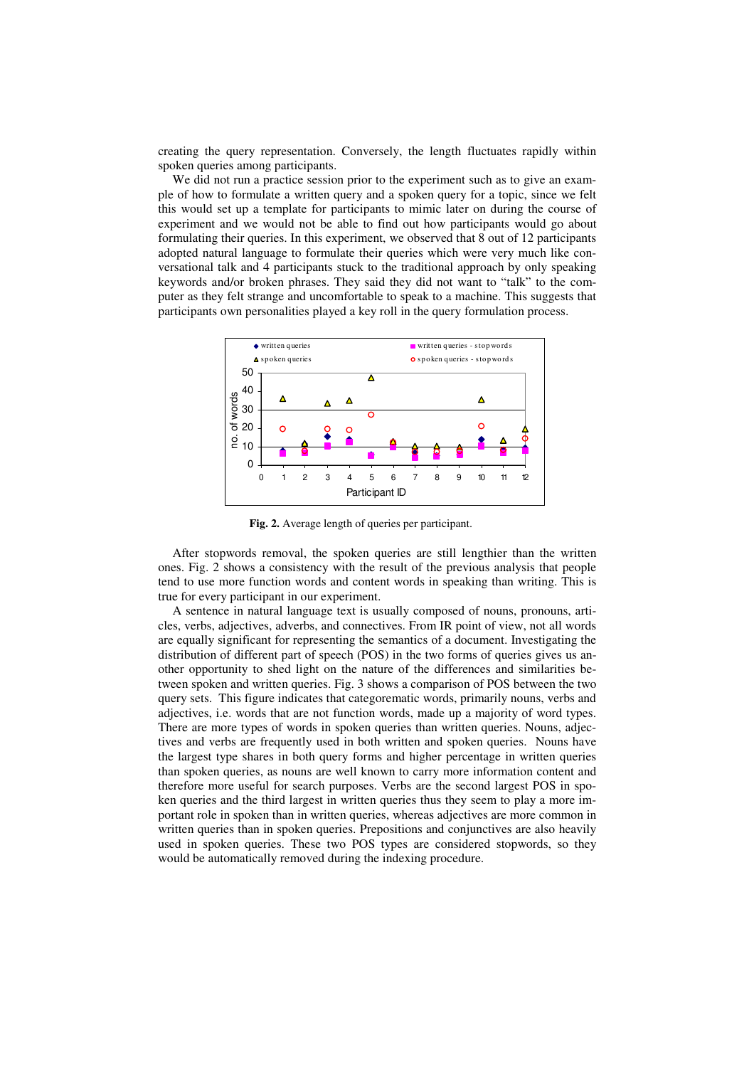creating the query representation. Conversely, the length fluctuates rapidly within spoken queries among participants.

We did not run a practice session prior to the experiment such as to give an example of how to formulate a written query and a spoken query for a topic, since we felt this would set up a template for participants to mimic later on during the course of experiment and we would not be able to find out how participants would go about formulating their queries. In this experiment, we observed that 8 out of 12 participants adopted natural language to formulate their queries which were very much like conversational talk and 4 participants stuck to the traditional approach by only speaking keywords and/or broken phrases. They said they did not want to "talk" to the computer as they felt strange and uncomfortable to speak to a machine. This suggests that participants own personalities played a key roll in the query formulation process.



**Fig. 2.** Average length of queries per participant.

After stopwords removal, the spoken queries are still lengthier than the written ones. Fig. 2 shows a consistency with the result of the previous analysis that people tend to use more function words and content words in speaking than writing. This is true for every participant in our experiment.

A sentence in natural language text is usually composed of nouns, pronouns, articles, verbs, adjectives, adverbs, and connectives. From IR point of view, not all words are equally significant for representing the semantics of a document. Investigating the distribution of different part of speech (POS) in the two forms of queries gives us another opportunity to shed light on the nature of the differences and similarities between spoken and written queries. Fig. 3 shows a comparison of POS between the two query sets. This figure indicates that categorematic words, primarily nouns, verbs and adjectives, i.e. words that are not function words, made up a majority of word types. There are more types of words in spoken queries than written queries. Nouns, adjectives and verbs are frequently used in both written and spoken queries. Nouns have the largest type shares in both query forms and higher percentage in written queries than spoken queries, as nouns are well known to carry more information content and therefore more useful for search purposes. Verbs are the second largest POS in spoken queries and the third largest in written queries thus they seem to play a more important role in spoken than in written queries, whereas adjectives are more common in written queries than in spoken queries. Prepositions and conjunctives are also heavily used in spoken queries. These two POS types are considered stopwords, so they would be automatically removed during the indexing procedure.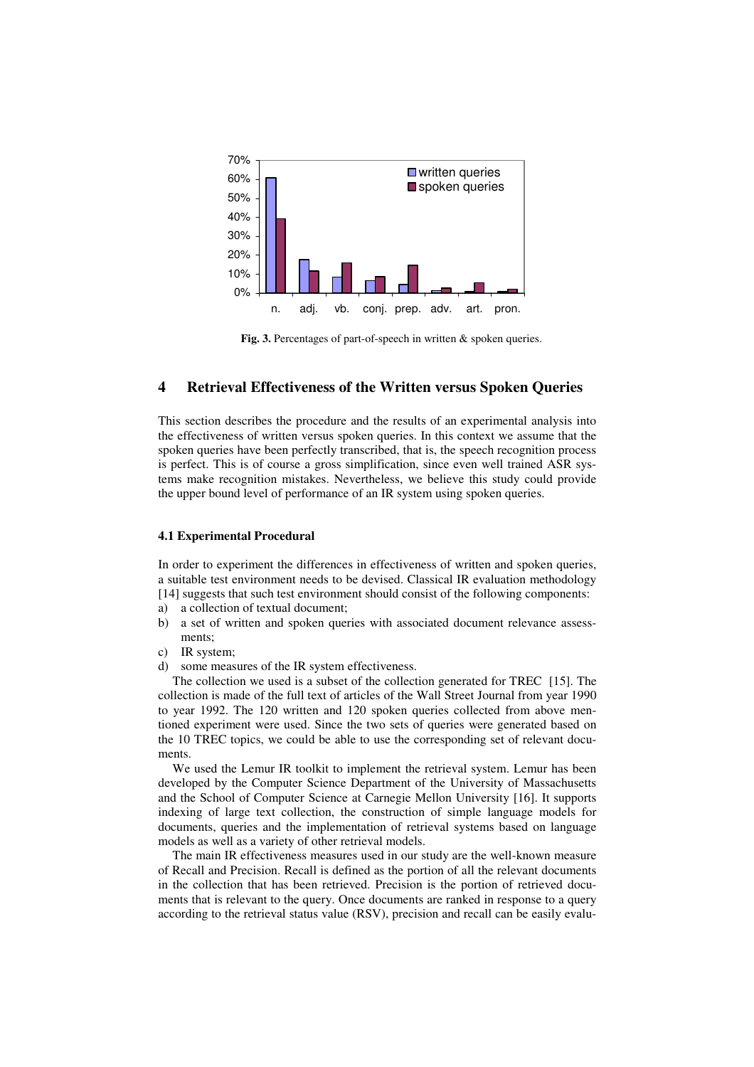

Fig. 3. Percentages of part-of-speech in written & spoken queries.

# **4 Retrieval Effectiveness of the Written versus Spoken Queries**

This section describes the procedure and the results of an experimental analysis into the effectiveness of written versus spoken queries. In this context we assume that the spoken queries have been perfectly transcribed, that is, the speech recognition process is perfect. This is of course a gross simplification, since even well trained ASR systems make recognition mistakes. Nevertheless, we believe this study could provide the upper bound level of performance of an IR system using spoken queries.

#### **4.1 Experimental Procedural**

In order to experiment the differences in effectiveness of written and spoken queries, a suitable test environment needs to be devised. Classical IR evaluation methodology [14] suggests that such test environment should consist of the following components:

- a) a collection of textual document;
- b) a set of written and spoken queries with associated document relevance assessments;
- c) IR system;
- d) some measures of the IR system effectiveness.

The collection we used is a subset of the collection generated for TREC [15]. The collection is made of the full text of articles of the Wall Street Journal from year 1990 to year 1992. The 120 written and 120 spoken queries collected from above mentioned experiment were used. Since the two sets of queries were generated based on the 10 TREC topics, we could be able to use the corresponding set of relevant documents.

We used the Lemur IR toolkit to implement the retrieval system. Lemur has been developed by the Computer Science Department of the University of Massachusetts and the School of Computer Science at Carnegie Mellon University [16]. It supports indexing of large text collection, the construction of simple language models for documents, queries and the implementation of retrieval systems based on language models as well as a variety of other retrieval models.

The main IR effectiveness measures used in our study are the well-known measure of Recall and Precision. Recall is defined as the portion of all the relevant documents in the collection that has been retrieved. Precision is the portion of retrieved documents that is relevant to the query. Once documents are ranked in response to a query according to the retrieval status value (RSV), precision and recall can be easily evalu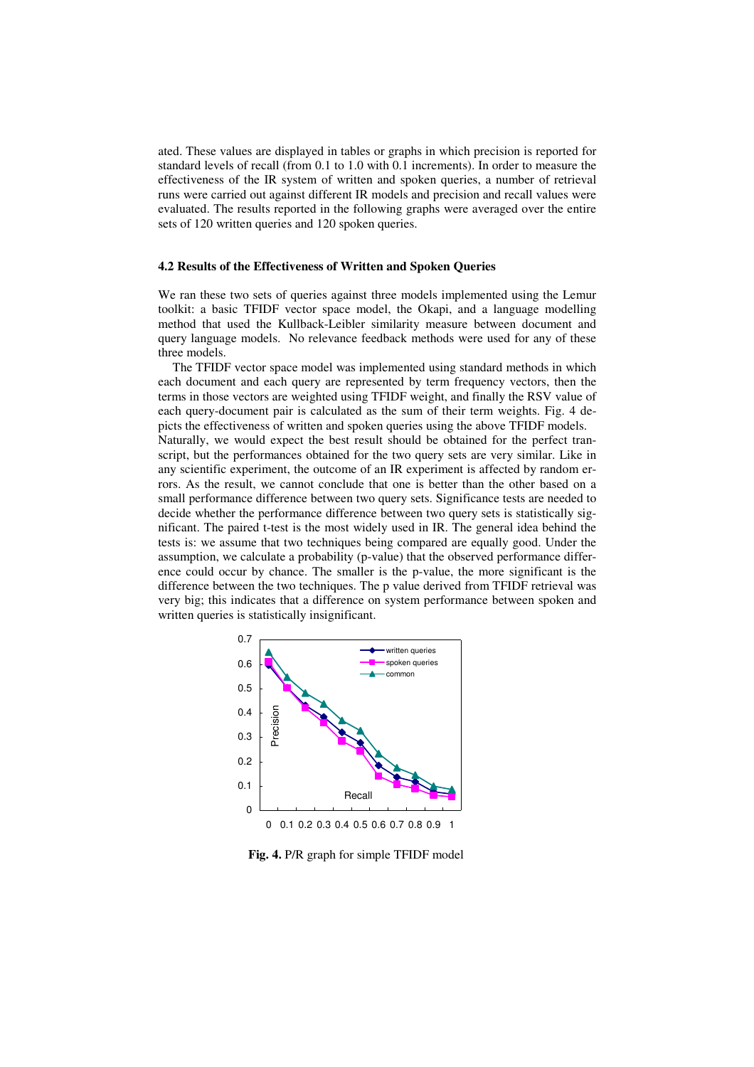ated. These values are displayed in tables or graphs in which precision is reported for standard levels of recall (from 0.1 to 1.0 with 0.1 increments). In order to measure the effectiveness of the IR system of written and spoken queries, a number of retrieval runs were carried out against different IR models and precision and recall values were evaluated. The results reported in the following graphs were averaged over the entire sets of 120 written queries and 120 spoken queries.

#### **4.2 Results of the Effectiveness of Written and Spoken Queries**

We ran these two sets of queries against three models implemented using the Lemur toolkit: a basic TFIDF vector space model, the Okapi, and a language modelling method that used the Kullback-Leibler similarity measure between document and query language models. No relevance feedback methods were used for any of these three models.

The TFIDF vector space model was implemented using standard methods in which each document and each query are represented by term frequency vectors, then the terms in those vectors are weighted using TFIDF weight, and finally the RSV value of each query-document pair is calculated as the sum of their term weights. Fig. 4 depicts the effectiveness of written and spoken queries using the above TFIDF models. Naturally, we would expect the best result should be obtained for the perfect transcript, but the performances obtained for the two query sets are very similar. Like in

any scientific experiment, the outcome of an IR experiment is affected by random errors. As the result, we cannot conclude that one is better than the other based on a small performance difference between two query sets. Significance tests are needed to decide whether the performance difference between two query sets is statistically significant. The paired t-test is the most widely used in IR. The general idea behind the tests is: we assume that two techniques being compared are equally good. Under the assumption, we calculate a probability (p-value) that the observed performance difference could occur by chance. The smaller is the p-value, the more significant is the difference between the two techniques. The p value derived from TFIDF retrieval was very big; this indicates that a difference on system performance between spoken and written queries is statistically insignificant.



**Fig. 4.** P/R graph for simple TFIDF model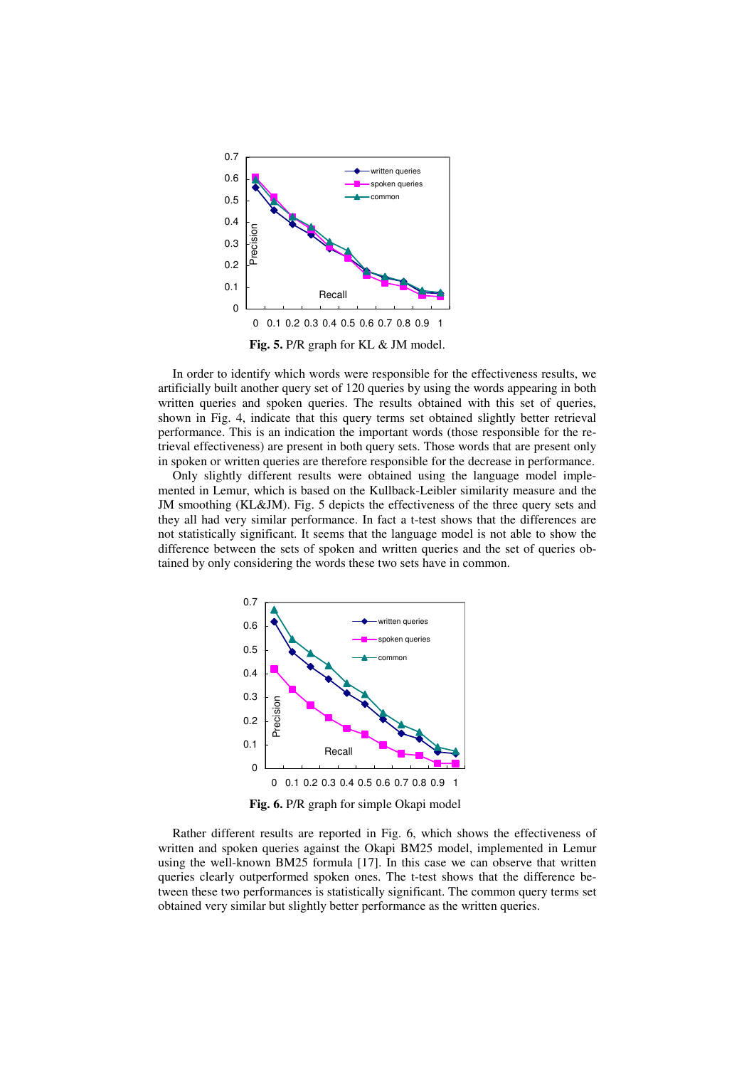

**Fig. 5.** P/R graph for KL & JM model.

In order to identify which words were responsible for the effectiveness results, we artificially built another query set of 120 queries by using the words appearing in both written queries and spoken queries. The results obtained with this set of queries, shown in Fig. 4, indicate that this query terms set obtained slightly better retrieval performance. This is an indication the important words (those responsible for the retrieval effectiveness) are present in both query sets. Those words that are present only in spoken or written queries are therefore responsible for the decrease in performance.

Only slightly different results were obtained using the language model implemented in Lemur, which is based on the Kullback-Leibler similarity measure and the JM smoothing (KL&JM). Fig. 5 depicts the effectiveness of the three query sets and they all had very similar performance. In fact a t-test shows that the differences are not statistically significant. It seems that the language model is not able to show the difference between the sets of spoken and written queries and the set of queries obtained by only considering the words these two sets have in common.



**Fig. 6.** P/R graph for simple Okapi model

Rather different results are reported in Fig. 6, which shows the effectiveness of written and spoken queries against the Okapi BM25 model, implemented in Lemur using the well-known BM25 formula [17]. In this case we can observe that written queries clearly outperformed spoken ones. The t-test shows that the difference between these two performances is statistically significant. The common query terms set obtained very similar but slightly better performance as the written queries.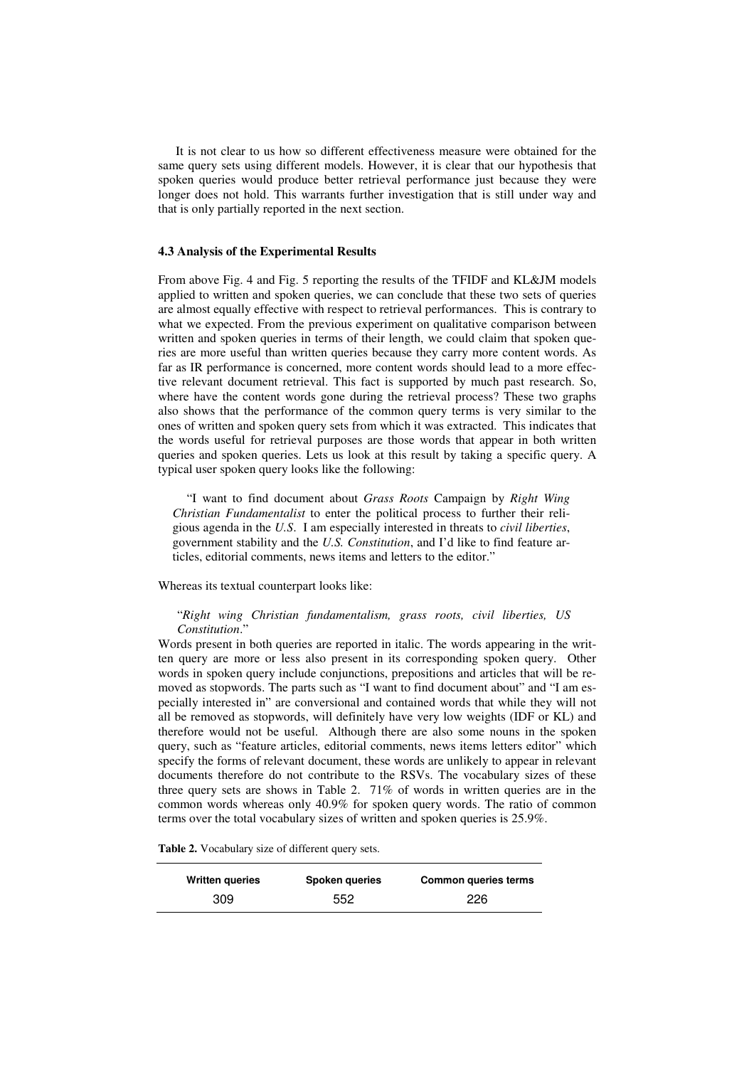It is not clear to us how so different effectiveness measure were obtained for the same query sets using different models. However, it is clear that our hypothesis that spoken queries would produce better retrieval performance just because they were longer does not hold. This warrants further investigation that is still under way and that is only partially reported in the next section.

#### **4.3 Analysis of the Experimental Results**

From above Fig. 4 and Fig. 5 reporting the results of the TFIDF and KL&JM models applied to written and spoken queries, we can conclude that these two sets of queries are almost equally effective with respect to retrieval performances. This is contrary to what we expected. From the previous experiment on qualitative comparison between written and spoken queries in terms of their length, we could claim that spoken queries are more useful than written queries because they carry more content words. As far as IR performance is concerned, more content words should lead to a more effective relevant document retrieval. This fact is supported by much past research. So, where have the content words gone during the retrieval process? These two graphs also shows that the performance of the common query terms is very similar to the ones of written and spoken query sets from which it was extracted. This indicates that the words useful for retrieval purposes are those words that appear in both written queries and spoken queries. Lets us look at this result by taking a specific query. A typical user spoken query looks like the following:

"I want to find document about *Grass Roots* Campaign by *Right Wing Christian Fundamentalist* to enter the political process to further their religious agenda in the *U.S*. I am especially interested in threats to *civil liberties*, government stability and the *U.S. Constitution*, and I'd like to find feature articles, editorial comments, news items and letters to the editor."

Whereas its textual counterpart looks like:

#### "*Right wing Christian fundamentalism, grass roots, civil liberties, US Constitution*."

Words present in both queries are reported in italic. The words appearing in the written query are more or less also present in its corresponding spoken query. Other words in spoken query include conjunctions, prepositions and articles that will be removed as stopwords. The parts such as "I want to find document about" and "I am especially interested in" are conversional and contained words that while they will not all be removed as stopwords, will definitely have very low weights (IDF or KL) and therefore would not be useful. Although there are also some nouns in the spoken query, such as "feature articles, editorial comments, news items letters editor" which specify the forms of relevant document, these words are unlikely to appear in relevant documents therefore do not contribute to the RSVs. The vocabulary sizes of these three query sets are shows in Table 2. 71% of words in written queries are in the common words whereas only 40.9% for spoken query words. The ratio of common terms over the total vocabulary sizes of written and spoken queries is 25.9%.

**Table 2.** Vocabulary size of different query sets.

| Written queries | Spoken queries | Common queries terms |
|-----------------|----------------|----------------------|
| 309             | 552            | 226                  |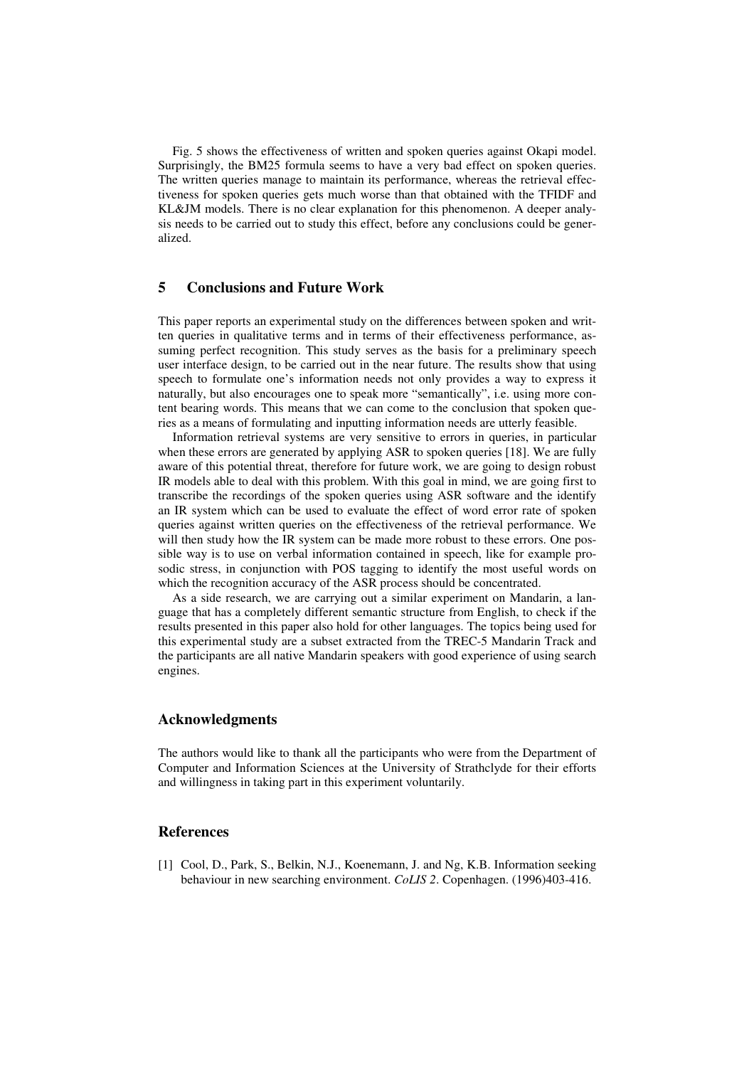Fig. 5 shows the effectiveness of written and spoken queries against Okapi model. Surprisingly, the BM25 formula seems to have a very bad effect on spoken queries. The written queries manage to maintain its performance, whereas the retrieval effectiveness for spoken queries gets much worse than that obtained with the TFIDF and KL&JM models. There is no clear explanation for this phenomenon. A deeper analysis needs to be carried out to study this effect, before any conclusions could be generalized.

# **5 Conclusions and Future Work**

This paper reports an experimental study on the differences between spoken and written queries in qualitative terms and in terms of their effectiveness performance, assuming perfect recognition. This study serves as the basis for a preliminary speech user interface design, to be carried out in the near future. The results show that using speech to formulate one's information needs not only provides a way to express it naturally, but also encourages one to speak more "semantically", i.e. using more content bearing words. This means that we can come to the conclusion that spoken queries as a means of formulating and inputting information needs are utterly feasible.

Information retrieval systems are very sensitive to errors in queries, in particular when these errors are generated by applying ASR to spoken queries [18]. We are fully aware of this potential threat, therefore for future work, we are going to design robust IR models able to deal with this problem. With this goal in mind, we are going first to transcribe the recordings of the spoken queries using ASR software and the identify an IR system which can be used to evaluate the effect of word error rate of spoken queries against written queries on the effectiveness of the retrieval performance. We will then study how the IR system can be made more robust to these errors. One possible way is to use on verbal information contained in speech, like for example prosodic stress, in conjunction with POS tagging to identify the most useful words on which the recognition accuracy of the ASR process should be concentrated.

As a side research, we are carrying out a similar experiment on Mandarin, a language that has a completely different semantic structure from English, to check if the results presented in this paper also hold for other languages. The topics being used for this experimental study are a subset extracted from the TREC-5 Mandarin Track and the participants are all native Mandarin speakers with good experience of using search engines.

### **Acknowledgments**

The authors would like to thank all the participants who were from the Department of Computer and Information Sciences at the University of Strathclyde for their efforts and willingness in taking part in this experiment voluntarily.

### **References**

[1] Cool, D., Park, S., Belkin, N.J., Koenemann, J. and Ng, K.B. Information seeking behaviour in new searching environment. *CoLIS 2*. Copenhagen. (1996)403-416.